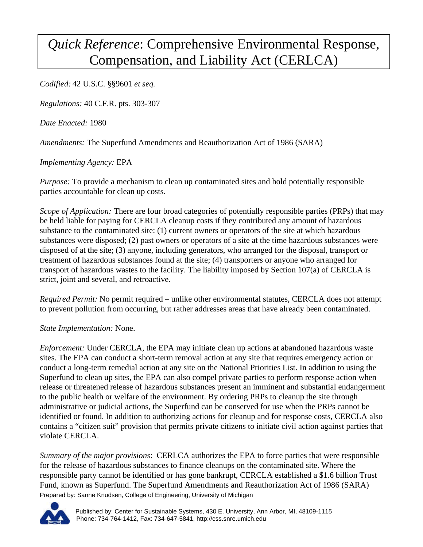## *Quick Reference*: Comprehensive Environmental Response, Compensation, and Liability Act (CERLCA)

*Codified:* 42 U.S.C. §§9601 *et seq.*

*Regulations:* 40 C.F.R. pts. 303-307

*Date Enacted:* 1980

*Amendments:* The Superfund Amendments and Reauthorization Act of 1986 (SARA)

*Implementing Agency:* EPA

*Purpose:* To provide a mechanism to clean up contaminated sites and hold potentially responsible parties accountable for clean up costs.

*Scope of Application:* There are four broad categories of potentially responsible parties (PRPs) that may be held liable for paying for CERCLA cleanup costs if they contributed any amount of hazardous substance to the contaminated site: (1) current owners or operators of the site at which hazardous substances were disposed; (2) past owners or operators of a site at the time hazardous substances were disposed of at the site; (3) anyone, including generators, who arranged for the disposal, transport or treatment of hazardous substances found at the site; (4) transporters or anyone who arranged for transport of hazardous wastes to the facility. The liability imposed by Section 107(a) of CERCLA is strict, joint and several, and retroactive.

*Required Permit:* No permit required – unlike other environmental statutes, CERCLA does not attempt to prevent pollution from occurring, but rather addresses areas that have already been contaminated.

*State Implementation:* None.

*Enforcement:* Under CERCLA, the EPA may initiate clean up actions at abandoned hazardous waste sites. The EPA can conduct a short-term removal action at any site that requires emergency action or conduct a long-term remedial action at any site on the National Priorities List. In addition to using the Superfund to clean up sites, the EPA can also compel private parties to perform response action when release or threatened release of hazardous substances present an imminent and substantial endangerment to the public health or welfare of the environment. By ordering PRPs to cleanup the site through administrative or judicial actions, the Superfund can be conserved for use when the PRPs cannot be identified or found. In addition to authorizing actions for cleanup and for response costs, CERCLA also contains a "citizen suit" provision that permits private citizens to initiate civil action against parties that violate CERCLA.

Prepared by: Sanne Knudsen, College of Engineering, University of Michigan *Summary of the major provisions*: CERLCA authorizes the EPA to force parties that were responsible for the release of hazardous substances to finance cleanups on the contaminated site. Where the responsible party cannot be identified or has gone bankrupt, CERCLA established a \$1.6 billion Trust Fund, known as Superfund. The Superfund Amendments and Reauthorization Act of 1986 (SARA)